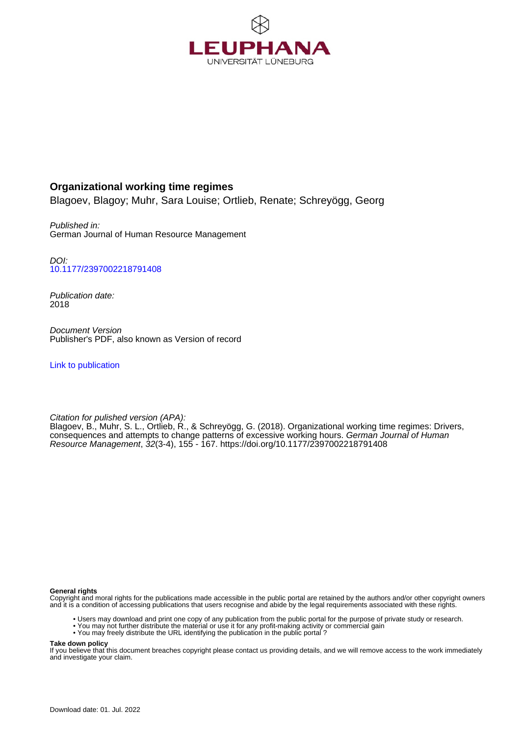

# **Organizational working time regimes**

Blagoev, Blagoy; Muhr, Sara Louise; Ortlieb, Renate; Schreyögg, Georg

## Published in: German Journal of Human Resource Management

DOI: [10.1177/2397002218791408](https://doi.org/10.1177/2397002218791408)

Publication date: 2018

Document Version Publisher's PDF, also known as Version of record

[Link to publication](http://fox.leuphana.de/portal/en/publications/organizational-working-time-regimes(b1c8c4be-ed55-4dc5-8a97-9eb040658f3a).html)

Citation for pulished version (APA):

[Blagoev, B.](http://fox.leuphana.de/portal/de/persons/blagoy-blagoev(34d75ffa-62a5-4819-a26d-8e37a55aa447).html), Muhr, S. L., Ortlieb, R., & Schreyögg, G. (2018). [Organizational working time regimes: Drivers,](http://fox.leuphana.de/portal/de/publications/organizational-working-time-regimes(b1c8c4be-ed55-4dc5-8a97-9eb040658f3a).html) [consequences and attempts to change patterns of excessive working hours](http://fox.leuphana.de/portal/de/publications/organizational-working-time-regimes(b1c8c4be-ed55-4dc5-8a97-9eb040658f3a).html). [German Journal of Human](http://fox.leuphana.de/portal/de/journals/german-journal-of-human-resource-management(66143494-2fa0-48a7-9019-f46e68739695)/publications.html) [Resource Management](http://fox.leuphana.de/portal/de/journals/german-journal-of-human-resource-management(66143494-2fa0-48a7-9019-f46e68739695)/publications.html), 32(3-4), 155 - 167.<https://doi.org/10.1177/2397002218791408>

#### **General rights**

Copyright and moral rights for the publications made accessible in the public portal are retained by the authors and/or other copyright owners and it is a condition of accessing publications that users recognise and abide by the legal requirements associated with these rights.

- Users may download and print one copy of any publication from the public portal for the purpose of private study or research.
- You may not further distribute the material or use it for any profit-making activity or commercial gain
- You may freely distribute the URL identifying the publication in the public portal ?

#### **Take down policy**

If you believe that this document breaches copyright please contact us providing details, and we will remove access to the work immediately and investigate your claim.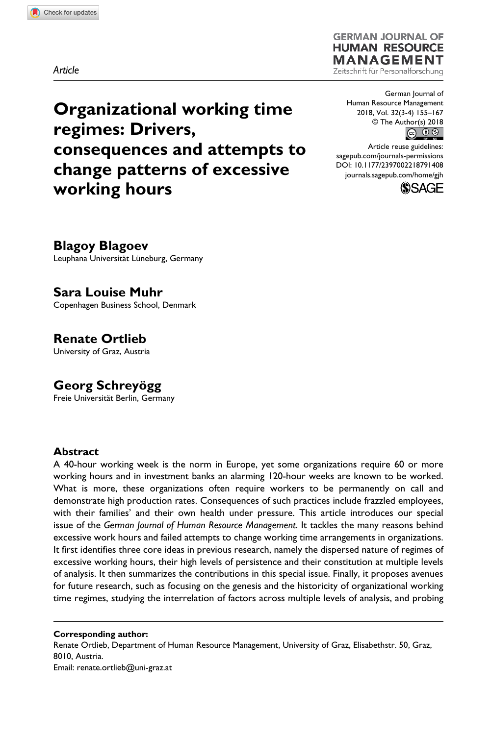*Article*

# **Organizational working time regimes: Drivers, consequences and attempts to change patterns of excessive working hours**

German Journal of Human Resource Management 2018, Vol. 32(3-4) 155–167 © The Author(s) 2018  $\circledcirc$   $\circledcirc$ 

**GERMAN JOURNAL OF HUMAN RESOURCE MANAGEMENT** Zeitschrift für Personalforschung

DOI: 10.1177/2397002218791408 Article reuse guidelines: [sagepub.com/journals-permissions](https://uk.sagepub.com/en-gb/journals-permissions) [journals.sagepub.com/home/gjh](https://journals.sagepub.com/home/gjh)



**Blagoy Blagoev** Leuphana Universität Lüneburg, Germany

**Sara Louise Muhr** Copenhagen Business School, Denmark

**Renate Ortlieb** University of Graz, Austria

**Georg Schreyögg** Freie Universität Berlin, Germany

## **Abstract**

A 40-hour working week is the norm in Europe, yet some organizations require 60 or more working hours and in investment banks an alarming 120-hour weeks are known to be worked. What is more, these organizations often require workers to be permanently on call and demonstrate high production rates. Consequences of such practices include frazzled employees, with their families' and their own health under pressure. This article introduces our special issue of the *German Journal of Human Resource Management*. It tackles the many reasons behind excessive work hours and failed attempts to change working time arrangements in organizations. It first identifies three core ideas in previous research, namely the dispersed nature of regimes of excessive working hours, their high levels of persistence and their constitution at multiple levels of analysis. It then summarizes the contributions in this special issue. Finally, it proposes avenues for future research, such as focusing on the genesis and the historicity of organizational working time regimes, studying the interrelation of factors across multiple levels of analysis, and probing

**Corresponding author:** Renate Ortlieb, Department of Human Resource Management, University of Graz, Elisabethstr. 50, Graz, 8010, Austria. Email: [renate.ortlieb@uni-graz.at](mailto:renate.ortlieb@uni-graz.at)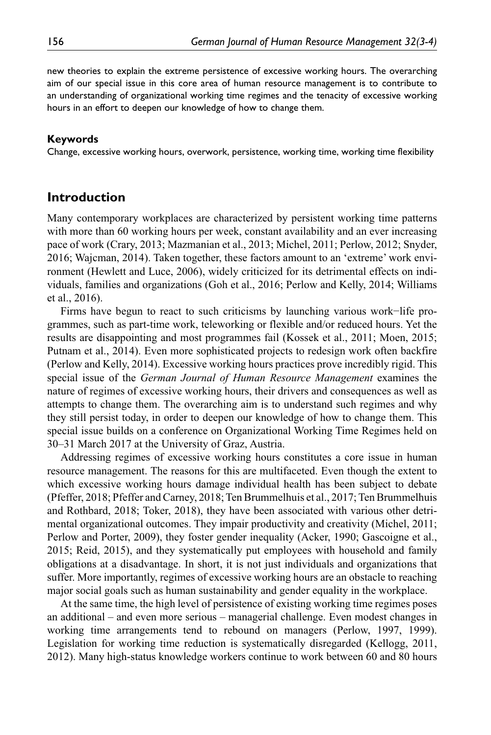new theories to explain the extreme persistence of excessive working hours. The overarching aim of our special issue in this core area of human resource management is to contribute to an understanding of organizational working time regimes and the tenacity of excessive working hours in an effort to deepen our knowledge of how to change them.

#### **Keywords**

Change, excessive working hours, overwork, persistence, working time, working time flexibility

## **Introduction**

Many contemporary workplaces are characterized by persistent working time patterns with more than 60 working hours per week, constant availability and an ever increasing pace of work (Crary, 2013; Mazmanian et al., 2013; Michel, 2011; Perlow, 2012; Snyder, 2016; Wajcman, 2014). Taken together, these factors amount to an 'extreme' work environment (Hewlett and Luce, 2006), widely criticized for its detrimental effects on individuals, families and organizations (Goh et al., 2016; Perlow and Kelly, 2014; Williams et al., 2016).

Firms have begun to react to such criticisms by launching various work−life programmes, such as part-time work, teleworking or flexible and/or reduced hours. Yet the results are disappointing and most programmes fail (Kossek et al., 2011; Moen, 2015; Putnam et al., 2014). Even more sophisticated projects to redesign work often backfire (Perlow and Kelly, 2014). Excessive working hours practices prove incredibly rigid. This special issue of the *German Journal of Human Resource Management* examines the nature of regimes of excessive working hours, their drivers and consequences as well as attempts to change them. The overarching aim is to understand such regimes and why they still persist today, in order to deepen our knowledge of how to change them. This special issue builds on a conference on Organizational Working Time Regimes held on 30–31 March 2017 at the University of Graz, Austria.

Addressing regimes of excessive working hours constitutes a core issue in human resource management. The reasons for this are multifaceted. Even though the extent to which excessive working hours damage individual health has been subject to debate (Pfeffer, 2018; Pfeffer and Carney, 2018; Ten Brummelhuis et al., 2017; Ten Brummelhuis and Rothbard, 2018; Toker, 2018), they have been associated with various other detrimental organizational outcomes. They impair productivity and creativity (Michel, 2011; Perlow and Porter, 2009), they foster gender inequality (Acker, 1990; Gascoigne et al., 2015; Reid, 2015), and they systematically put employees with household and family obligations at a disadvantage. In short, it is not just individuals and organizations that suffer. More importantly, regimes of excessive working hours are an obstacle to reaching major social goals such as human sustainability and gender equality in the workplace.

At the same time, the high level of persistence of existing working time regimes poses an additional – and even more serious – managerial challenge. Even modest changes in working time arrangements tend to rebound on managers (Perlow, 1997, 1999). Legislation for working time reduction is systematically disregarded (Kellogg, 2011, 2012). Many high-status knowledge workers continue to work between 60 and 80 hours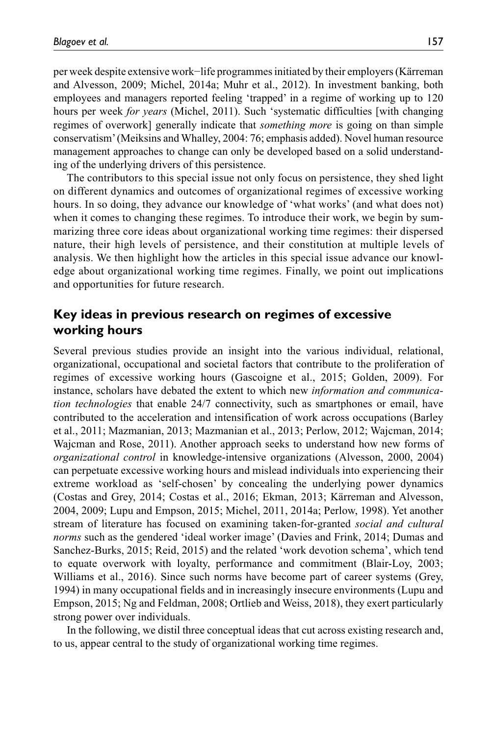per week despite extensive work−life programmes initiated by their employers (Kärreman and Alvesson, 2009; Michel, 2014a; Muhr et al., 2012). In investment banking, both employees and managers reported feeling 'trapped' in a regime of working up to 120 hours per week *for years* (Michel, 2011). Such 'systematic difficulties [with changing regimes of overwork] generally indicate that *something more* is going on than simple conservatism' (Meiksins and Whalley, 2004: 76; emphasis added). Novel human resource management approaches to change can only be developed based on a solid understanding of the underlying drivers of this persistence.

The contributors to this special issue not only focus on persistence, they shed light on different dynamics and outcomes of organizational regimes of excessive working hours. In so doing, they advance our knowledge of 'what works' (and what does not) when it comes to changing these regimes. To introduce their work, we begin by summarizing three core ideas about organizational working time regimes: their dispersed nature, their high levels of persistence, and their constitution at multiple levels of analysis. We then highlight how the articles in this special issue advance our knowledge about organizational working time regimes. Finally, we point out implications and opportunities for future research.

# **Key ideas in previous research on regimes of excessive working hours**

Several previous studies provide an insight into the various individual, relational, organizational, occupational and societal factors that contribute to the proliferation of regimes of excessive working hours (Gascoigne et al., 2015; Golden, 2009). For instance, scholars have debated the extent to which new *information and communication technologies* that enable 24/7 connectivity, such as smartphones or email, have contributed to the acceleration and intensification of work across occupations (Barley et al., 2011; Mazmanian, 2013; Mazmanian et al., 2013; Perlow, 2012; Wajcman, 2014; Wajcman and Rose, 2011). Another approach seeks to understand how new forms of *organizational control* in knowledge-intensive organizations (Alvesson, 2000, 2004) can perpetuate excessive working hours and mislead individuals into experiencing their extreme workload as 'self-chosen' by concealing the underlying power dynamics (Costas and Grey, 2014; Costas et al., 2016; Ekman, 2013; Kärreman and Alvesson, 2004, 2009; Lupu and Empson, 2015; Michel, 2011, 2014a; Perlow, 1998). Yet another stream of literature has focused on examining taken-for-granted *social and cultural norms* such as the gendered 'ideal worker image' (Davies and Frink, 2014; Dumas and Sanchez-Burks, 2015; Reid, 2015) and the related 'work devotion schema', which tend to equate overwork with loyalty, performance and commitment (Blair-Loy, 2003; Williams et al., 2016). Since such norms have become part of career systems (Grey, 1994) in many occupational fields and in increasingly insecure environments (Lupu and Empson, 2015; Ng and Feldman, 2008; Ortlieb and Weiss, 2018), they exert particularly strong power over individuals.

In the following, we distil three conceptual ideas that cut across existing research and, to us, appear central to the study of organizational working time regimes.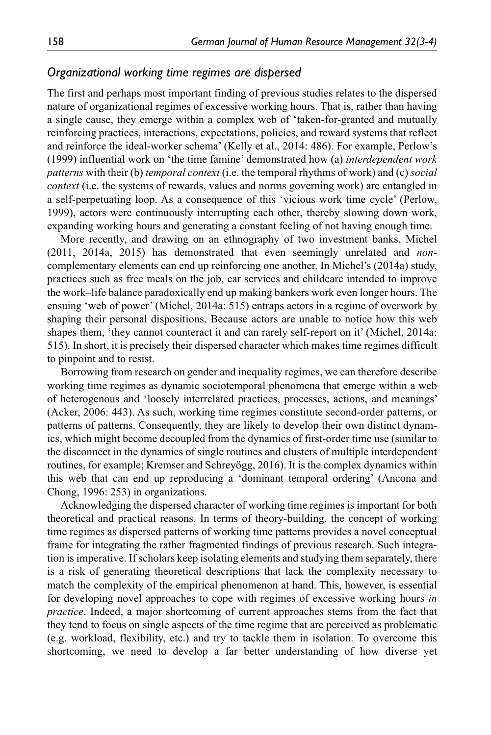## *Organizational working time regimes are dispersed*

The first and perhaps most important finding of previous studies relates to the dispersed nature of organizational regimes of excessive working hours. That is, rather than having a single cause, they emerge within a complex web of 'taken-for-granted and mutually reinforcing practices, interactions, expectations, policies, and reward systems that reflect and reinforce the ideal-worker schema' (Kelly et al., 2014: 486). For example, Perlow's (1999) influential work on 'the time famine' demonstrated how (a) *interdependent work patterns* with their (b) *temporal context* (i.e. the temporal rhythms of work) and (c) *social context* (i.e. the systems of rewards, values and norms governing work) are entangled in a self-perpetuating loop. As a consequence of this 'vicious work time cycle' (Perlow, 1999), actors were continuously interrupting each other, thereby slowing down work, expanding working hours and generating a constant feeling of not having enough time.

More recently, and drawing on an ethnography of two investment banks, Michel (2011, 2014a, 2015) has demonstrated that even seemingly unrelated and *non*complementary elements can end up reinforcing one another. In Michel's (2014a) study, practices such as free meals on the job, car services and childcare intended to improve the work–life balance paradoxically end up making bankers work even longer hours. The ensuing 'web of power' (Michel, 2014a: 515) entraps actors in a regime of overwork by shaping their personal dispositions. Because actors are unable to notice how this web shapes them, 'they cannot counteract it and can rarely self-report on it' (Michel, 2014a: 515). In short, it is precisely their dispersed character which makes time regimes difficult to pinpoint and to resist.

Borrowing from research on gender and inequality regimes, we can therefore describe working time regimes as dynamic sociotemporal phenomena that emerge within a web of heterogenous and 'loosely interrelated practices, processes, actions, and meanings' (Acker, 2006: 443). As such, working time regimes constitute second-order patterns, or patterns of patterns. Consequently, they are likely to develop their own distinct dynamics, which might become decoupled from the dynamics of first-order time use (similar to the disconnect in the dynamics of single routines and clusters of multiple interdependent routines, for example; Kremser and Schreyögg, 2016). It is the complex dynamics within this web that can end up reproducing a 'dominant temporal ordering' (Ancona and Chong, 1996: 253) in organizations.

Acknowledging the dispersed character of working time regimes is important for both theoretical and practical reasons. In terms of theory-building, the concept of working time regimes as dispersed patterns of working time patterns provides a novel conceptual frame for integrating the rather fragmented findings of previous research. Such integration is imperative. If scholars keep isolating elements and studying them separately, there is a risk of generating theoretical descriptions that lack the complexity necessary to match the complexity of the empirical phenomenon at hand. This, however, is essential for developing novel approaches to cope with regimes of excessive working hours *in practice*. Indeed, a major shortcoming of current approaches stems from the fact that they tend to focus on single aspects of the time regime that are perceived as problematic (e.g. workload, flexibility, etc.) and try to tackle them in isolation. To overcome this shortcoming, we need to develop a far better understanding of how diverse yet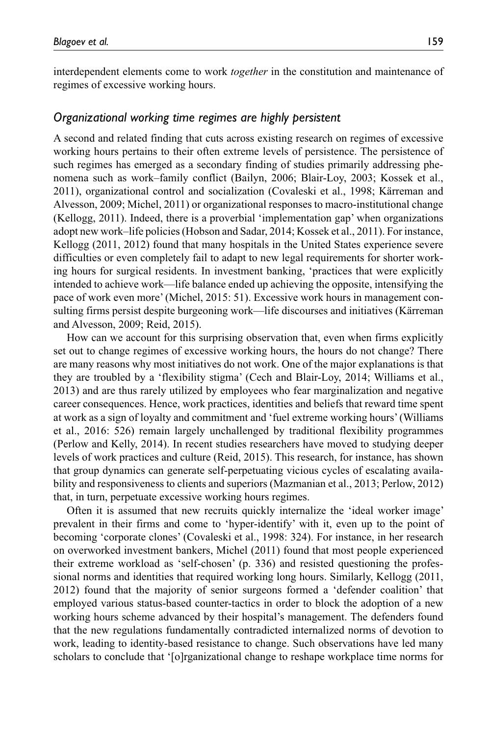interdependent elements come to work *together* in the constitution and maintenance of regimes of excessive working hours.

#### *Organizational working time regimes are highly persistent*

A second and related finding that cuts across existing research on regimes of excessive working hours pertains to their often extreme levels of persistence. The persistence of such regimes has emerged as a secondary finding of studies primarily addressing phenomena such as work–family conflict (Bailyn, 2006; Blair-Loy, 2003; Kossek et al., 2011), organizational control and socialization (Covaleski et al., 1998; Kärreman and Alvesson, 2009; Michel, 2011) or organizational responses to macro-institutional change (Kellogg, 2011). Indeed, there is a proverbial 'implementation gap' when organizations adopt new work–life policies (Hobson and Sadar, 2014; Kossek et al., 2011). For instance, Kellogg (2011, 2012) found that many hospitals in the United States experience severe difficulties or even completely fail to adapt to new legal requirements for shorter working hours for surgical residents. In investment banking, 'practices that were explicitly intended to achieve work—life balance ended up achieving the opposite, intensifying the pace of work even more' (Michel, 2015: 51). Excessive work hours in management consulting firms persist despite burgeoning work—life discourses and initiatives (Kärreman and Alvesson, 2009; Reid, 2015).

How can we account for this surprising observation that, even when firms explicitly set out to change regimes of excessive working hours, the hours do not change? There are many reasons why most initiatives do not work. One of the major explanations is that they are troubled by a 'flexibility stigma' (Cech and Blair-Loy, 2014; Williams et al., 2013) and are thus rarely utilized by employees who fear marginalization and negative career consequences. Hence, work practices, identities and beliefs that reward time spent at work as a sign of loyalty and commitment and 'fuel extreme working hours' (Williams et al., 2016: 526) remain largely unchallenged by traditional flexibility programmes (Perlow and Kelly, 2014). In recent studies researchers have moved to studying deeper levels of work practices and culture (Reid, 2015). This research, for instance, has shown that group dynamics can generate self-perpetuating vicious cycles of escalating availability and responsiveness to clients and superiors (Mazmanian et al., 2013; Perlow, 2012) that, in turn, perpetuate excessive working hours regimes.

Often it is assumed that new recruits quickly internalize the 'ideal worker image' prevalent in their firms and come to 'hyper-identify' with it, even up to the point of becoming 'corporate clones' (Covaleski et al., 1998: 324). For instance, in her research on overworked investment bankers, Michel (2011) found that most people experienced their extreme workload as 'self-chosen' (p. 336) and resisted questioning the professional norms and identities that required working long hours. Similarly, Kellogg (2011, 2012) found that the majority of senior surgeons formed a 'defender coalition' that employed various status-based counter-tactics in order to block the adoption of a new working hours scheme advanced by their hospital's management. The defenders found that the new regulations fundamentally contradicted internalized norms of devotion to work, leading to identity-based resistance to change. Such observations have led many scholars to conclude that '[o]rganizational change to reshape workplace time norms for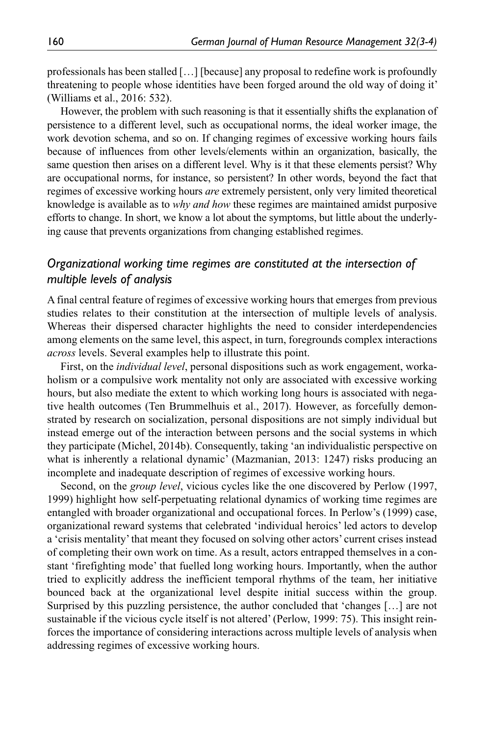professionals has been stalled […] [because] any proposal to redefine work is profoundly threatening to people whose identities have been forged around the old way of doing it' (Williams et al., 2016: 532).

However, the problem with such reasoning is that it essentially shifts the explanation of persistence to a different level, such as occupational norms, the ideal worker image, the work devotion schema, and so on. If changing regimes of excessive working hours fails because of influences from other levels/elements within an organization, basically, the same question then arises on a different level. Why is it that these elements persist? Why are occupational norms, for instance, so persistent? In other words, beyond the fact that regimes of excessive working hours *are* extremely persistent, only very limited theoretical knowledge is available as to *why and how* these regimes are maintained amidst purposive efforts to change. In short, we know a lot about the symptoms, but little about the underlying cause that prevents organizations from changing established regimes.

# *Organizational working time regimes are constituted at the intersection of multiple levels of analysis*

A final central feature of regimes of excessive working hours that emerges from previous studies relates to their constitution at the intersection of multiple levels of analysis. Whereas their dispersed character highlights the need to consider interdependencies among elements on the same level, this aspect, in turn, foregrounds complex interactions *across* levels. Several examples help to illustrate this point.

First, on the *individual level*, personal dispositions such as work engagement, workaholism or a compulsive work mentality not only are associated with excessive working hours, but also mediate the extent to which working long hours is associated with negative health outcomes (Ten Brummelhuis et al., 2017). However, as forcefully demonstrated by research on socialization, personal dispositions are not simply individual but instead emerge out of the interaction between persons and the social systems in which they participate (Michel, 2014b). Consequently, taking 'an individualistic perspective on what is inherently a relational dynamic' (Mazmanian, 2013: 1247) risks producing an incomplete and inadequate description of regimes of excessive working hours.

Second, on the *group level*, vicious cycles like the one discovered by Perlow (1997, 1999) highlight how self-perpetuating relational dynamics of working time regimes are entangled with broader organizational and occupational forces. In Perlow's (1999) case, organizational reward systems that celebrated 'individual heroics' led actors to develop a 'crisis mentality' that meant they focused on solving other actors' current crises instead of completing their own work on time. As a result, actors entrapped themselves in a constant 'firefighting mode' that fuelled long working hours. Importantly, when the author tried to explicitly address the inefficient temporal rhythms of the team, her initiative bounced back at the organizational level despite initial success within the group. Surprised by this puzzling persistence, the author concluded that 'changes […] are not sustainable if the vicious cycle itself is not altered' (Perlow, 1999: 75). This insight reinforces the importance of considering interactions across multiple levels of analysis when addressing regimes of excessive working hours.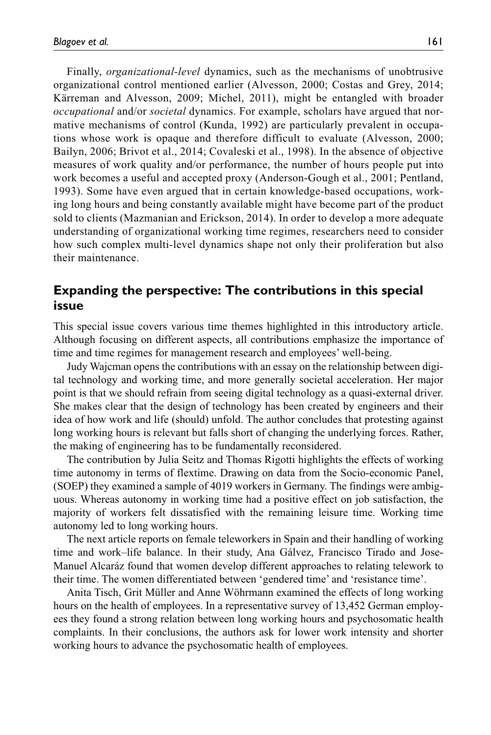Finally, *organizational-level* dynamics, such as the mechanisms of unobtrusive organizational control mentioned earlier (Alvesson, 2000; Costas and Grey, 2014; Kärreman and Alvesson, 2009; Michel, 2011), might be entangled with broader *occupational* and/or *societal* dynamics. For example, scholars have argued that normative mechanisms of control (Kunda, 1992) are particularly prevalent in occupations whose work is opaque and therefore difficult to evaluate (Alvesson, 2000; Bailyn, 2006; Brivot et al., 2014; Covaleski et al., 1998). In the absence of objective measures of work quality and/or performance, the number of hours people put into work becomes a useful and accepted proxy (Anderson-Gough et al., 2001; Pentland, 1993). Some have even argued that in certain knowledge-based occupations, working long hours and being constantly available might have become part of the product sold to clients (Mazmanian and Erickson, 2014). In order to develop a more adequate understanding of organizational working time regimes, researchers need to consider how such complex multi-level dynamics shape not only their proliferation but also their maintenance.

# **Expanding the perspective: The contributions in this special issue**

This special issue covers various time themes highlighted in this introductory article. Although focusing on different aspects, all contributions emphasize the importance of time and time regimes for management research and employees' well-being.

Judy Wajcman opens the contributions with an essay on the relationship between digital technology and working time, and more generally societal acceleration. Her major point is that we should refrain from seeing digital technology as a quasi-external driver. She makes clear that the design of technology has been created by engineers and their idea of how work and life (should) unfold. The author concludes that protesting against long working hours is relevant but falls short of changing the underlying forces. Rather, the making of engineering has to be fundamentally reconsidered.

The contribution by Julia Seitz and Thomas Rigotti highlights the effects of working time autonomy in terms of flextime. Drawing on data from the Socio-economic Panel, (SOEP) they examined a sample of 4019 workers in Germany. The findings were ambiguous. Whereas autonomy in working time had a positive effect on job satisfaction, the majority of workers felt dissatisfied with the remaining leisure time. Working time autonomy led to long working hours.

The next article reports on female teleworkers in Spain and their handling of working time and work–life balance. In their study, Ana Gálvez, Francisco Tirado and Jose-Manuel Alcaráz found that women develop different approaches to relating telework to their time. The women differentiated between 'gendered time' and 'resistance time'.

Anita Tisch, Grit Müller and Anne Wöhrmann examined the effects of long working hours on the health of employees. In a representative survey of 13,452 German employees they found a strong relation between long working hours and psychosomatic health complaints. In their conclusions, the authors ask for lower work intensity and shorter working hours to advance the psychosomatic health of employees.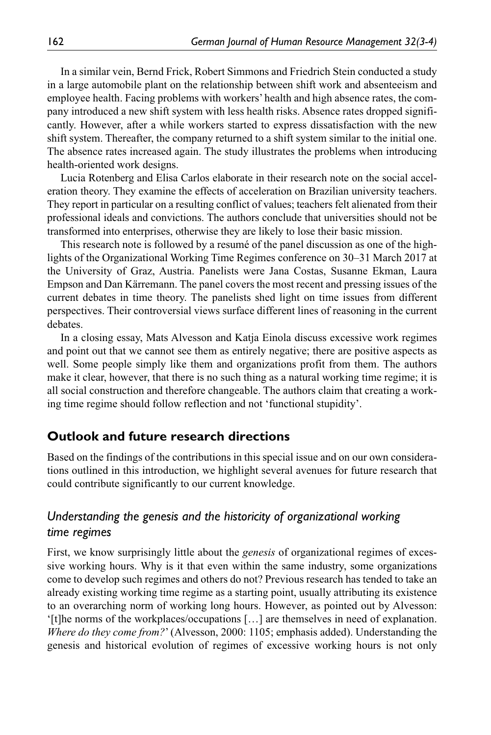In a similar vein, Bernd Frick, Robert Simmons and Friedrich Stein conducted a study in a large automobile plant on the relationship between shift work and absenteeism and employee health. Facing problems with workers' health and high absence rates, the company introduced a new shift system with less health risks. Absence rates dropped significantly. However, after a while workers started to express dissatisfaction with the new shift system. Thereafter, the company returned to a shift system similar to the initial one. The absence rates increased again. The study illustrates the problems when introducing health-oriented work designs.

Lucia Rotenberg and Elisa Carlos elaborate in their research note on the social acceleration theory. They examine the effects of acceleration on Brazilian university teachers. They report in particular on a resulting conflict of values; teachers felt alienated from their professional ideals and convictions. The authors conclude that universities should not be transformed into enterprises, otherwise they are likely to lose their basic mission.

This research note is followed by a resumé of the panel discussion as one of the highlights of the Organizational Working Time Regimes conference on 30–31 March 2017 at the University of Graz, Austria. Panelists were Jana Costas, Susanne Ekman, Laura Empson and Dan Kärremann. The panel covers the most recent and pressing issues of the current debates in time theory. The panelists shed light on time issues from different perspectives. Their controversial views surface different lines of reasoning in the current debates.

In a closing essay, Mats Alvesson and Katja Einola discuss excessive work regimes and point out that we cannot see them as entirely negative; there are positive aspects as well. Some people simply like them and organizations profit from them. The authors make it clear, however, that there is no such thing as a natural working time regime; it is all social construction and therefore changeable. The authors claim that creating a working time regime should follow reflection and not 'functional stupidity'.

# **Outlook and future research directions**

Based on the findings of the contributions in this special issue and on our own considerations outlined in this introduction, we highlight several avenues for future research that could contribute significantly to our current knowledge.

# *Understanding the genesis and the historicity of organizational working time regimes*

First, we know surprisingly little about the *genesis* of organizational regimes of excessive working hours. Why is it that even within the same industry, some organizations come to develop such regimes and others do not? Previous research has tended to take an already existing working time regime as a starting point, usually attributing its existence to an overarching norm of working long hours. However, as pointed out by Alvesson: '[t]he norms of the workplaces/occupations […] are themselves in need of explanation. *Where do they come from?*' (Alvesson, 2000: 1105; emphasis added). Understanding the genesis and historical evolution of regimes of excessive working hours is not only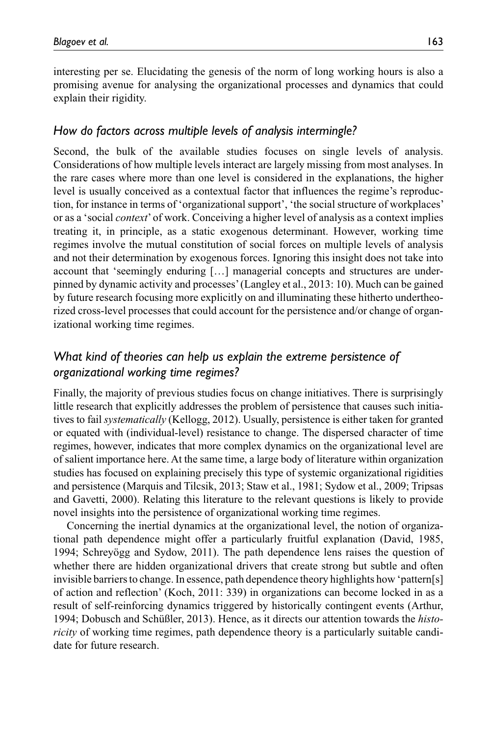interesting per se. Elucidating the genesis of the norm of long working hours is also a promising avenue for analysing the organizational processes and dynamics that could explain their rigidity.

## *How do factors across multiple levels of analysis intermingle?*

Second, the bulk of the available studies focuses on single levels of analysis. Considerations of how multiple levels interact are largely missing from most analyses. In the rare cases where more than one level is considered in the explanations, the higher level is usually conceived as a contextual factor that influences the regime's reproduction, for instance in terms of 'organizational support', 'the social structure of workplaces' or as a 'social *context*' of work. Conceiving a higher level of analysis as a context implies treating it, in principle, as a static exogenous determinant. However, working time regimes involve the mutual constitution of social forces on multiple levels of analysis and not their determination by exogenous forces. Ignoring this insight does not take into account that 'seemingly enduring […] managerial concepts and structures are underpinned by dynamic activity and processes' (Langley et al., 2013: 10). Much can be gained by future research focusing more explicitly on and illuminating these hitherto undertheorized cross-level processes that could account for the persistence and/or change of organizational working time regimes.

# *What kind of theories can help us explain the extreme persistence of organizational working time regimes?*

Finally, the majority of previous studies focus on change initiatives. There is surprisingly little research that explicitly addresses the problem of persistence that causes such initiatives to fail *systematically* (Kellogg, 2012). Usually, persistence is either taken for granted or equated with (individual-level) resistance to change. The dispersed character of time regimes, however, indicates that more complex dynamics on the organizational level are of salient importance here. At the same time, a large body of literature within organization studies has focused on explaining precisely this type of systemic organizational rigidities and persistence (Marquis and Tilcsik, 2013; Staw et al., 1981; Sydow et al., 2009; Tripsas and Gavetti, 2000). Relating this literature to the relevant questions is likely to provide novel insights into the persistence of organizational working time regimes.

Concerning the inertial dynamics at the organizational level, the notion of organizational path dependence might offer a particularly fruitful explanation (David, 1985, 1994; Schreyögg and Sydow, 2011). The path dependence lens raises the question of whether there are hidden organizational drivers that create strong but subtle and often invisible barriers to change. In essence, path dependence theory highlights how 'pattern[s] of action and reflection' (Koch, 2011: 339) in organizations can become locked in as a result of self-reinforcing dynamics triggered by historically contingent events (Arthur, 1994; Dobusch and Schüßler, 2013). Hence, as it directs our attention towards the *historicity* of working time regimes, path dependence theory is a particularly suitable candidate for future research.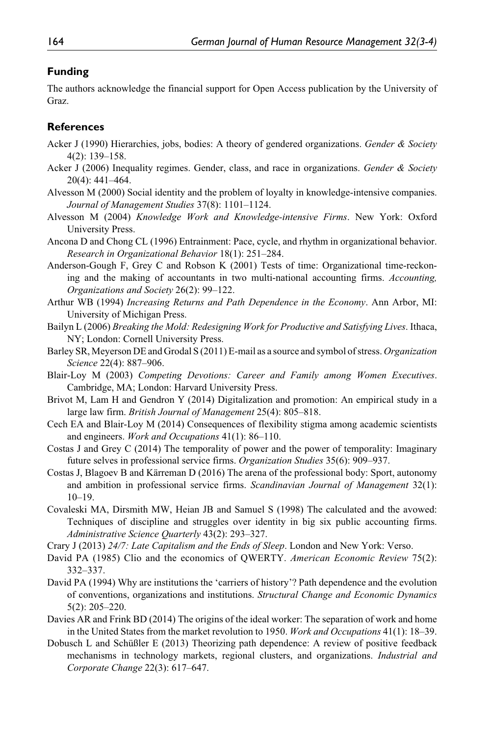## **Funding**

The authors acknowledge the financial support for Open Access publication by the University of Graz.

## **References**

- Acker J (1990) Hierarchies, jobs, bodies: A theory of gendered organizations. *Gender & Society* 4(2): 139–158.
- Acker J (2006) Inequality regimes. Gender, class, and race in organizations. *Gender & Society* 20(4): 441–464.
- Alvesson M (2000) Social identity and the problem of loyalty in knowledge-intensive companies. *Journal of Management Studies* 37(8): 1101–1124.
- Alvesson M (2004) *Knowledge Work and Knowledge-intensive Firms*. New York: Oxford University Press.
- Ancona D and Chong CL (1996) Entrainment: Pace, cycle, and rhythm in organizational behavior. *Research in Organizational Behavior* 18(1): 251–284.
- Anderson-Gough F, Grey C and Robson K (2001) Tests of time: Organizational time-reckoning and the making of accountants in two multi-national accounting firms. *Accounting, Organizations and Society* 26(2): 99–122.
- Arthur WB (1994) *Increasing Returns and Path Dependence in the Economy*. Ann Arbor, MI: University of Michigan Press.
- Bailyn L (2006) *Breaking the Mold: Redesigning Work for Productive and Satisfying Lives*. Ithaca, NY; London: Cornell University Press.
- Barley SR, Meyerson DE and Grodal S (2011) E-mail as a source and symbol of stress. *Organization Science* 22(4): 887–906.
- Blair-Loy M (2003) *Competing Devotions: Career and Family among Women Executives*. Cambridge, MA; London: Harvard University Press.
- Brivot M, Lam H and Gendron Y (2014) Digitalization and promotion: An empirical study in a large law firm. *British Journal of Management* 25(4): 805–818.
- Cech EA and Blair-Loy M (2014) Consequences of flexibility stigma among academic scientists and engineers. *Work and Occupations* 41(1): 86–110.
- Costas J and Grey C (2014) The temporality of power and the power of temporality: Imaginary future selves in professional service firms. *Organization Studies* 35(6): 909–937.
- Costas J, Blagoev B and Kärreman D (2016) The arena of the professional body: Sport, autonomy and ambition in professional service firms. *Scandinavian Journal of Management* 32(1): 10–19.
- Covaleski MA, Dirsmith MW, Heian JB and Samuel S (1998) The calculated and the avowed: Techniques of discipline and struggles over identity in big six public accounting firms. *Administrative Science Quarterly* 43(2): 293–327.
- Crary J (2013) *24/7: Late Capitalism and the Ends of Sleep*. London and New York: Verso.
- David PA (1985) Clio and the economics of QWERTY. *American Economic Review* 75(2): 332–337.
- David PA (1994) Why are institutions the 'carriers of history'? Path dependence and the evolution of conventions, organizations and institutions. *Structural Change and Economic Dynamics* 5(2): 205–220.
- Davies AR and Frink BD (2014) The origins of the ideal worker: The separation of work and home in the United States from the market revolution to 1950. *Work and Occupations* 41(1): 18–39.
- Dobusch L and Schüßler E (2013) Theorizing path dependence: A review of positive feedback mechanisms in technology markets, regional clusters, and organizations. *Industrial and Corporate Change* 22(3): 617–647.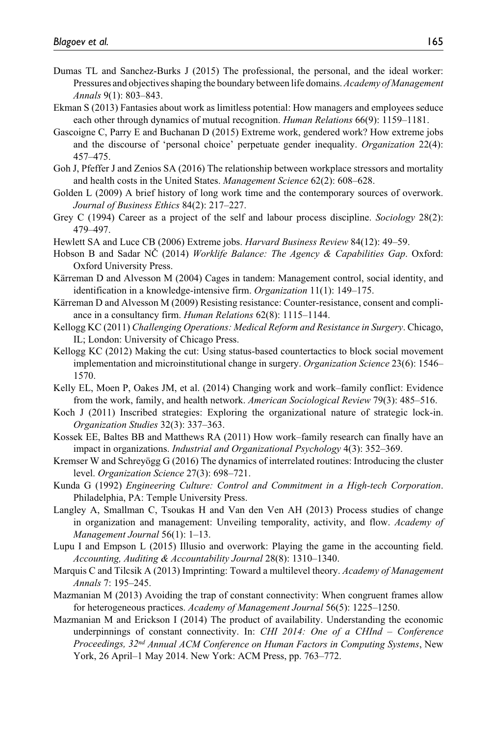- Dumas TL and Sanchez-Burks J (2015) The professional, the personal, and the ideal worker: Pressures and objectives shaping the boundary between life domains. *Academy of Management Annals* 9(1): 803–843.
- Ekman S (2013) Fantasies about work as limitless potential: How managers and employees seduce each other through dynamics of mutual recognition. *Human Relations* 66(9): 1159–1181.
- Gascoigne C, Parry E and Buchanan D (2015) Extreme work, gendered work? How extreme jobs and the discourse of 'personal choice' perpetuate gender inequality. *Organization* 22(4): 457–475.
- Goh J, Pfeffer J and Zenios SA (2016) The relationship between workplace stressors and mortality and health costs in the United States. *Management Science* 62(2): 608–628.
- Golden L (2009) A brief history of long work time and the contemporary sources of overwork. *Journal of Business Ethics* 84(2): 217–227.
- Grey C (1994) Career as a project of the self and labour process discipline. *Sociology* 28(2): 479–497.
- Hewlett SA and Luce CB (2006) Extreme jobs. *Harvard Business Review* 84(12): 49–59.
- Hobson B and Sadar NČ (2014) *Worklife Balance: The Agency & Capabilities Gap*. Oxford: Oxford University Press.
- Kärreman D and Alvesson M (2004) Cages in tandem: Management control, social identity, and identification in a knowledge-intensive firm. *Organization* 11(1): 149–175.
- Kärreman D and Alvesson M (2009) Resisting resistance: Counter-resistance, consent and compliance in a consultancy firm. *Human Relations* 62(8): 1115–1144.
- Kellogg KC (2011) *Challenging Operations: Medical Reform and Resistance in Surgery*. Chicago, IL; London: University of Chicago Press.
- Kellogg KC (2012) Making the cut: Using status-based countertactics to block social movement implementation and microinstitutional change in surgery. *Organization Science* 23(6): 1546– 1570.
- Kelly EL, Moen P, Oakes JM, et al. (2014) Changing work and work–family conflict: Evidence from the work, family, and health network. *American Sociological Review* 79(3): 485–516.
- Koch J (2011) Inscribed strategies: Exploring the organizational nature of strategic lock-in. *Organization Studies* 32(3): 337–363.
- Kossek EE, Baltes BB and Matthews RA (2011) How work–family research can finally have an impact in organizations. *Industrial and Organizational Psychology* 4(3): 352–369.
- Kremser W and Schreyögg G (2016) The dynamics of interrelated routines: Introducing the cluster level. *Organization Science* 27(3): 698–721.
- Kunda G (1992) *Engineering Culture: Control and Commitment in a High-tech Corporation*. Philadelphia, PA: Temple University Press.
- Langley A, Smallman C, Tsoukas H and Van den Ven AH (2013) Process studies of change in organization and management: Unveiling temporality, activity, and flow. *Academy of Management Journal* 56(1): 1–13.
- Lupu I and Empson L (2015) Illusio and overwork: Playing the game in the accounting field. *Accounting, Auditing & Accountability Journal* 28(8): 1310–1340.
- Marquis C and Tilcsik A (2013) Imprinting: Toward a multilevel theory. *Academy of Management Annals* 7: 195–245.
- Mazmanian M (2013) Avoiding the trap of constant connectivity: When congruent frames allow for heterogeneous practices. *Academy of Management Journal* 56(5): 1225–1250.
- Mazmanian M and Erickson I (2014) The product of availability. Understanding the economic underpinnings of constant connectivity. In: *CHI 2014: One of a CHInd – Conference Proceedings, 32nd Annual ACM Conference on Human Factors in Computing Systems*, New York, 26 April–1 May 2014. New York: ACM Press, pp. 763–772.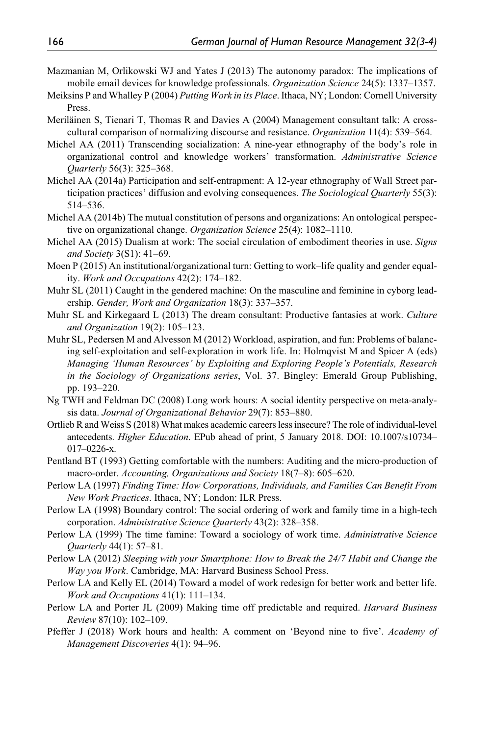- Mazmanian M, Orlikowski WJ and Yates J (2013) The autonomy paradox: The implications of mobile email devices for knowledge professionals. *Organization Science* 24(5): 1337–1357.
- Meiksins P and Whalley P (2004) *Putting Work in its Place*. Ithaca, NY; London: Cornell University Press.
- Meriläinen S, Tienari T, Thomas R and Davies A (2004) Management consultant talk: A crosscultural comparison of normalizing discourse and resistance. *Organization* 11(4): 539–564.
- Michel AA (2011) Transcending socialization: A nine-year ethnography of the body's role in organizational control and knowledge workers' transformation. *Administrative Science Quarterly* 56(3): 325–368.
- Michel AA (2014a) Participation and self-entrapment: A 12-year ethnography of Wall Street participation practices' diffusion and evolving consequences. *The Sociological Quarterly* 55(3): 514–536.
- Michel AA (2014b) The mutual constitution of persons and organizations: An ontological perspective on organizational change. *Organization Science* 25(4): 1082–1110.
- Michel AA (2015) Dualism at work: The social circulation of embodiment theories in use. *Signs and Society* 3(S1): 41–69.
- Moen P (2015) An institutional/organizational turn: Getting to work–life quality and gender equality. *Work and Occupations* 42(2): 174–182.
- Muhr SL (2011) Caught in the gendered machine: On the masculine and feminine in cyborg leadership. *Gender, Work and Organization* 18(3): 337–357.
- Muhr SL and Kirkegaard L (2013) The dream consultant: Productive fantasies at work. *Culture and Organization* 19(2): 105–123.
- Muhr SL, Pedersen M and Alvesson M (2012) Workload, aspiration, and fun: Problems of balancing self-exploitation and self-exploration in work life. In: Holmqvist M and Spicer A (eds) *Managing 'Human Resources' by Exploiting and Exploring People's Potentials, Research in the Sociology of Organizations series*, Vol. 37. Bingley: Emerald Group Publishing, pp. 193–220.
- Ng TWH and Feldman DC (2008) Long work hours: A social identity perspective on meta-analysis data. *Journal of Organizational Behavior* 29(7): 853–880.
- Ortlieb R and Weiss S (2018) What makes academic careers less insecure? The role of individual-level antecedents. *Higher Education*. EPub ahead of print, 5 January 2018. DOI: 10.1007/s10734– 017–0226-x.
- Pentland BT (1993) Getting comfortable with the numbers: Auditing and the micro-production of macro-order. *Accounting, Organizations and Society* 18(7–8): 605–620.
- Perlow LA (1997) *Finding Time: How Corporations, Individuals, and Families Can Benefit From New Work Practices*. Ithaca, NY; London: ILR Press.
- Perlow LA (1998) Boundary control: The social ordering of work and family time in a high-tech corporation. *Administrative Science Quarterly* 43(2): 328–358.
- Perlow LA (1999) The time famine: Toward a sociology of work time. *Administrative Science Quarterly* 44(1): 57–81.
- Perlow LA (2012) *Sleeping with your Smartphone: How to Break the 24/7 Habit and Change the Way you Work*. Cambridge, MA: Harvard Business School Press.
- Perlow LA and Kelly EL (2014) Toward a model of work redesign for better work and better life. *Work and Occupations* 41(1): 111–134.
- Perlow LA and Porter JL (2009) Making time off predictable and required. *Harvard Business Review* 87(10): 102–109.
- Pfeffer J (2018) Work hours and health: A comment on 'Beyond nine to five'. *Academy of Management Discoveries* 4(1): 94–96.